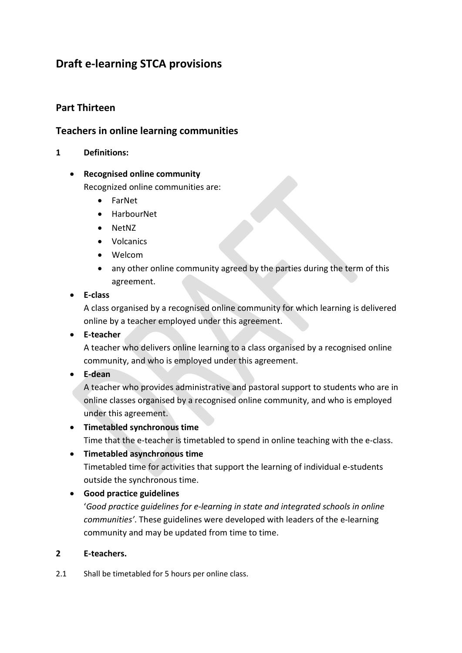# **Draft e-learning STCA provisions**

# **Part Thirteen**

# **Teachers in online learning communities**

### **1 Definitions:**

### • **Recognised online community**

Recognized online communities are:

- FarNet
- HarbourNet
- NetNZ
- Volcanics
- Welcom
- any other online community agreed by the parties during the term of this agreement.
- **E-class**

A class organised by a recognised online community for which learning is delivered online by a teacher employed under this agreement.

• **E-teacher**

A teacher who delivers online learning to a class organised by a recognised online community, and who is employed under this agreement.

• **E-dean**

A teacher who provides administrative and pastoral support to students who are in online classes organised by a recognised online community, and who is employed under this agreement.

# • **Timetabled synchronous time**

Time that the e-teacher is timetabled to spend in online teaching with the e-class.

### • **Timetabled asynchronous time**

Timetabled time for activities that support the learning of individual e-students outside the synchronous time.

# • **Good practice guidelines**

'*Good practice guidelines for e-learning in state and integrated schools in online communities'*. These guidelines were developed with leaders of the e-learning community and may be updated from time to time.

### **2 E-teachers.**

2.1 Shall be timetabled for 5 hours per online class.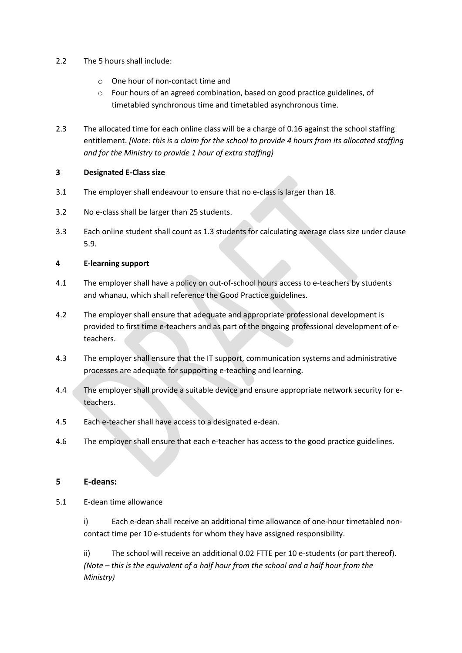- 2.2 The 5 hours shall include:
	- o One hour of non-contact time and
	- o Four hours of an agreed combination, based on good practice guidelines, of timetabled synchronous time and timetabled asynchronous time.
- 2.3 The allocated time for each online class will be a charge of 0.16 against the school staffing entitlement. *[Note: this is a claim for the school to provide 4 hours from its allocated staffing and for the Ministry to provide 1 hour of extra staffing)*

#### **3 Designated E-Class size**

- 3.1 The employer shall endeavour to ensure that no e-class is larger than 18.
- 3.2 No e-class shall be larger than 25 students.
- 3.3 Each online student shall count as 1.3 students for calculating average class size under clause 5.9.

#### **4 E-learning support**

- 4.1 The employer shall have a policy on out-of-school hours access to e-teachers by students and whanau, which shall reference the Good Practice guidelines.
- 4.2 The employer shall ensure that adequate and appropriate professional development is provided to first time e-teachers and as part of the ongoing professional development of eteachers.
- 4.3 The employer shall ensure that the IT support, communication systems and administrative processes are adequate for supporting e-teaching and learning.
- 4.4 The employer shall provide a suitable device and ensure appropriate network security for eteachers.
- 4.5 Each e-teacher shall have access to a designated e-dean.
- 4.6 The employer shall ensure that each e-teacher has access to the good practice guidelines.

#### **5 E-deans:**

5.1 E-dean time allowance

i) Each e-dean shall receive an additional time allowance of one-hour timetabled noncontact time per 10 e-students for whom they have assigned responsibility.

ii) The school will receive an additional 0.02 FTTE per 10 e-students (or part thereof). *(Note – this is the equivalent of a half hour from the school and a half hour from the Ministry)*